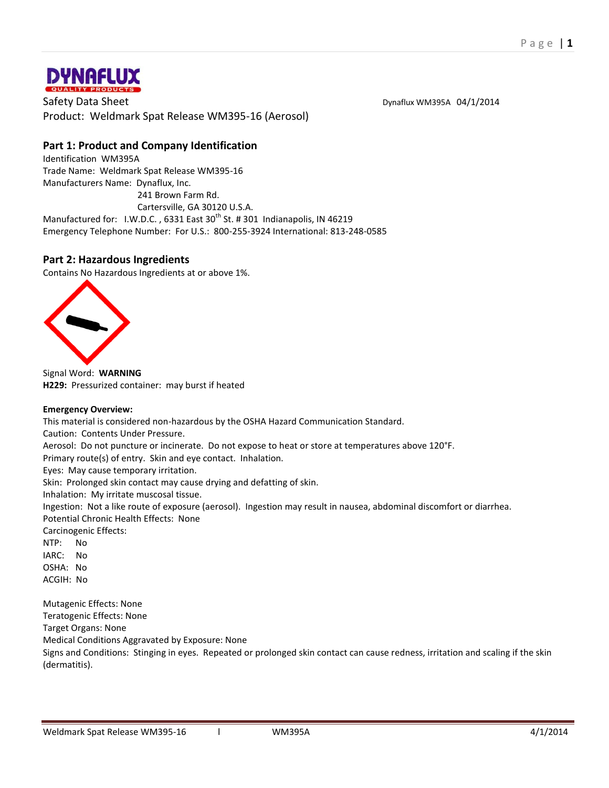

Safety Data Sheet Data Sheet Discover Discover and Deviation Dynaflux WM395A 04/1/2014 Product: Weldmark Spat Release WM395-16 (Aerosol)

# **Part 1: Product and Company Identification**

Identification WM395A Trade Name: Weldmark Spat Release WM395-16 Manufacturers Name: Dynaflux, Inc.

 241 Brown Farm Rd. Cartersville, GA 30120 U.S.A. Manufactured for: I.W.D.C., 6331 East 30<sup>th</sup> St. # 301 Indianapolis, IN 46219 Emergency Telephone Number: For U.S.: 800-255-3924 International: 813-248-0585

# **Part 2: Hazardous Ingredients**

Contains No Hazardous Ingredients at or above 1%.



Signal Word: **WARNING H229:** Pressurized container: may burst if heated

# **Emergency Overview:**

This material is considered non-hazardous by the OSHA Hazard Communication Standard.

Caution: Contents Under Pressure.

Aerosol: Do not puncture or incinerate. Do not expose to heat or store at temperatures above 120°F.

Primary route(s) of entry. Skin and eye contact. Inhalation.

Eyes: May cause temporary irritation.

Skin: Prolonged skin contact may cause drying and defatting of skin.

Inhalation: My irritate muscosal tissue.

Ingestion: Not a like route of exposure (aerosol). Ingestion may result in nausea, abdominal discomfort or diarrhea. Potential Chronic Health Effects: None

Carcinogenic Effects:

NTP: No IARC: No OSHA: No ACGIH: No

Mutagenic Effects: None Teratogenic Effects: None Target Organs: None Medical Conditions Aggravated by Exposure: None Signs and Conditions: Stinging in eyes. Repeated or prolonged skin contact can cause redness, irritation and scaling if the skin (dermatitis).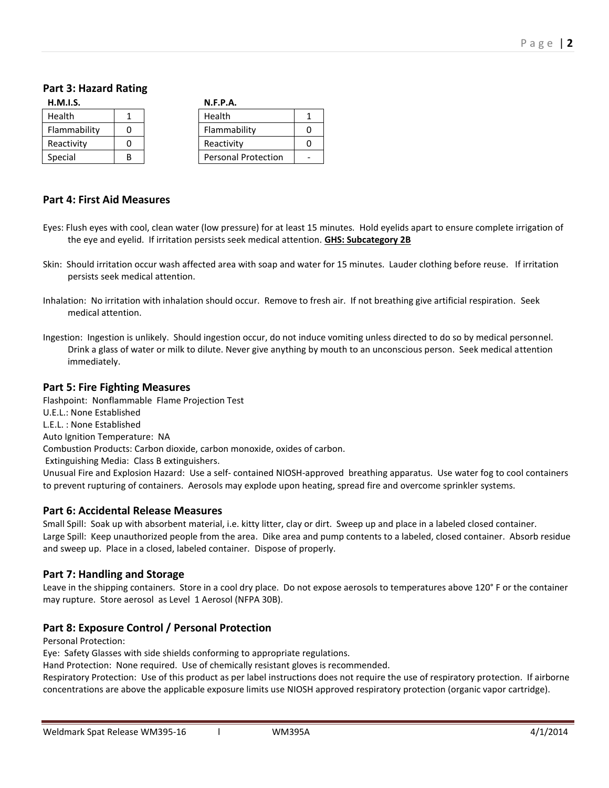# **Part 3: Hazard Rating**

| H.M.I.S.     |   |  | N.F.P.A.                   |   |
|--------------|---|--|----------------------------|---|
| Health       |   |  | Health                     | 1 |
| Flammability |   |  | Flammability               |   |
| Reactivity   |   |  | Reactivity                 |   |
| Special      | R |  | <b>Personal Protection</b> |   |

# **Part 4: First Aid Measures**

- Eyes: Flush eyes with cool, clean water (low pressure) for at least 15 minutes. Hold eyelids apart to ensure complete irrigation of the eye and eyelid. If irritation persists seek medical attention. **GHS: Subcategory 2B**
- Skin: Should irritation occur wash affected area with soap and water for 15 minutes. Lauder clothing before reuse. If irritation persists seek medical attention.
- Inhalation: No irritation with inhalation should occur. Remove to fresh air. If not breathing give artificial respiration. Seek medical attention.
- Ingestion: Ingestion is unlikely. Should ingestion occur, do not induce vomiting unless directed to do so by medical personnel. Drink a glass of water or milk to dilute. Never give anything by mouth to an unconscious person. Seek medical attention immediately.

#### **Part 5: Fire Fighting Measures**

Flashpoint: Nonflammable Flame Projection Test U.E.L.: None Established L.E.L. : None Established Auto Ignition Temperature: NA Combustion Products: Carbon dioxide, carbon monoxide, oxides of carbon. Extinguishing Media: Class B extinguishers. Unusual Fire and Explosion Hazard: Use a self- contained NIOSH-approved breathing apparatus. Use water fog to cool containers to prevent rupturing of containers. Aerosols may explode upon heating, spread fire and overcome sprinkler systems.

# **Part 6: Accidental Release Measures**

Small Spill: Soak up with absorbent material, i.e. kitty litter, clay or dirt. Sweep up and place in a labeled closed container. Large Spill: Keep unauthorized people from the area. Dike area and pump contents to a labeled, closed container. Absorb residue and sweep up. Place in a closed, labeled container. Dispose of properly.

# **Part 7: Handling and Storage**

Leave in the shipping containers. Store in a cool dry place. Do not expose aerosols to temperatures above 120° F or the container may rupture. Store aerosol as Level 1 Aerosol (NFPA 30B).

# **Part 8: Exposure Control / Personal Protection**

Personal Protection:

Eye: Safety Glasses with side shields conforming to appropriate regulations.

Hand Protection: None required. Use of chemically resistant gloves is recommended.

Respiratory Protection: Use of this product as per label instructions does not require the use of respiratory protection. If airborne concentrations are above the applicable exposure limits use NIOSH approved respiratory protection (organic vapor cartridge).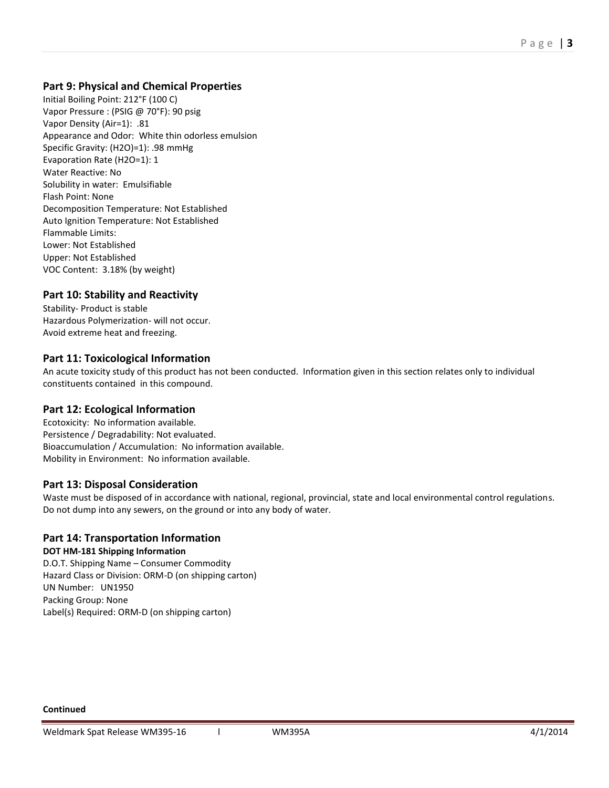# **Part 9: Physical and Chemical Properties**

Initial Boiling Point: 212°F (100 C) Vapor Pressure : (PSIG @ 70°F): 90 psig Vapor Density (Air=1): .81 Appearance and Odor: White thin odorless emulsion Specific Gravity: (H2O)=1): .98 mmHg Evaporation Rate (H2O=1): 1 Water Reactive: No Solubility in water: Emulsifiable Flash Point: None Decomposition Temperature: Not Established Auto Ignition Temperature: Not Established Flammable Limits: Lower: Not Established Upper: Not Established VOC Content: 3.18% (by weight)

# **Part 10: Stability and Reactivity**

Stability- Product is stable Hazardous Polymerization- will not occur. Avoid extreme heat and freezing.

# **Part 11: Toxicological Information**

An acute toxicity study of this product has not been conducted. Information given in this section relates only to individual constituents contained in this compound.

# **Part 12: Ecological Information**

Ecotoxicity: No information available. Persistence / Degradability: Not evaluated. Bioaccumulation / Accumulation: No information available. Mobility in Environment: No information available.

# **Part 13: Disposal Consideration**

Waste must be disposed of in accordance with national, regional, provincial, state and local environmental control regulations. Do not dump into any sewers, on the ground or into any body of water.

# **Part 14: Transportation Information**

#### **DOT HM-181 Shipping Information**

D.O.T. Shipping Name – Consumer Commodity Hazard Class or Division: ORM-D (on shipping carton) UN Number: UN1950 Packing Group: None Label(s) Required: ORM-D (on shipping carton)

**Continued**